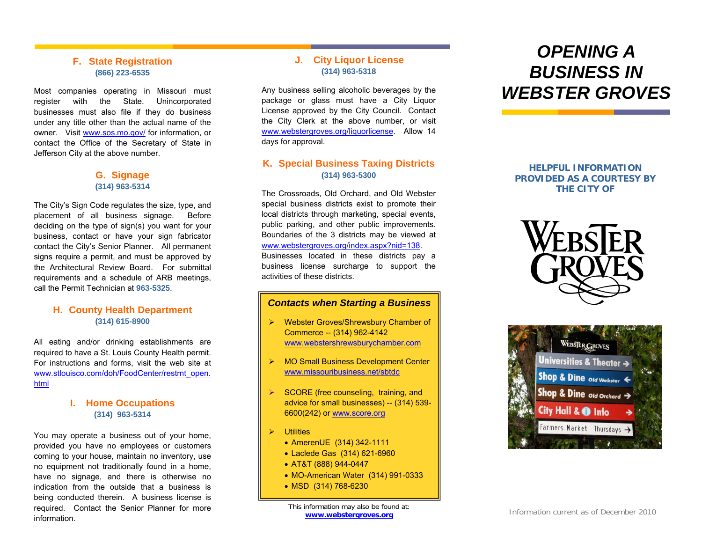### **F. State Registration (866) 223-6535**

Most companies operating in Missouri must register with the State. Unincorporated businesses must also file if they do business under any title other than the actual name of the owner. Visit www.sos.mo.gov/ for information, or www.webstergroves.org/liquorlicense contact the Office of the Secretary of State in Jefferson City at the above number.

The City's Sign Code regulates the size, type, and placement of all business signage. Before deciding on the type of sign(s) you want for your business, contact or have your sign fabricator contact the City's Senior Planner. All permanent signs require a permit, and must be approved by the Architectural Review Board. For submittal requirements and a schedule of ARB meetings, call the Permit Technician at **963-5325**.

# **(314) 615-8900** ¾

All eating and/or drinking establishments are required to have a St. Louis County Health permit. For instructions and forms, visit the web site at www.stlouisco.com/doh/FoodCenter/restrnt\_open. www.missouribusiness.net/sbtdc html

### **I. Home Occupations (314) 963-5314** <sup>w</sup>

You may operate a business out of your home,  $\parallel \rightarrow$  Utilities provided you have no employees or customers coming to your house, maintain no inventory, use no equipment not traditionally found in a home, have no signage, and there is other wise no indication from the outside that a business isbeing conducted therein. A business license is required. Contact the Senior Planner for more information.

### **J. City Liquor License (314) 963-5318**

Any business selling alcoholic beverages by the package or glass must have a City Liquor License approved by the City Council. Contact the City Clerk at the above number, or visit www.webstergroves.org/liquorlicense. Allow 14 days for approval.

### **K. Special Business Taxing Districts G. Signage (314) 963-5300**

**(314) 963-5314** The Crossroads, Old Orchard, and Old Webster special business districts exist to promote their local districts through marketing, special events, public parking, and other public improvements. Boundaries of the 3 districts may be viewed at www.webstergroves.org/index.aspx?nid=138. Businesses located in these districts pay a business license surcharge to support the activities of these districts.

### *Contacts when Starting a Business* **H. County Health Department**

- Webster Groves/Shrewsbury Chamber of Commerce -- (314) 962-4142 www.webstershrewsburychamber.com
- ¾MO Small Business Development Center
- ¾ SCORE (free counseling, training, and advice for small businesses) -- (314) 539- 6600(242) or w w.score.org
- - AmerenUE (314) 342-1111
	- Laclede Gas (314) 621-6960
	- AT&T (888) 944-0447
	- MO-American Water (314) 991-0333
	- MSD (314) 768-6230

## *OPENING A BUSINESS IN WEBSTER GROVES*

**HELPFUL INFORMATION PROVIDED AS A COURTESY BY THE CITY OF**